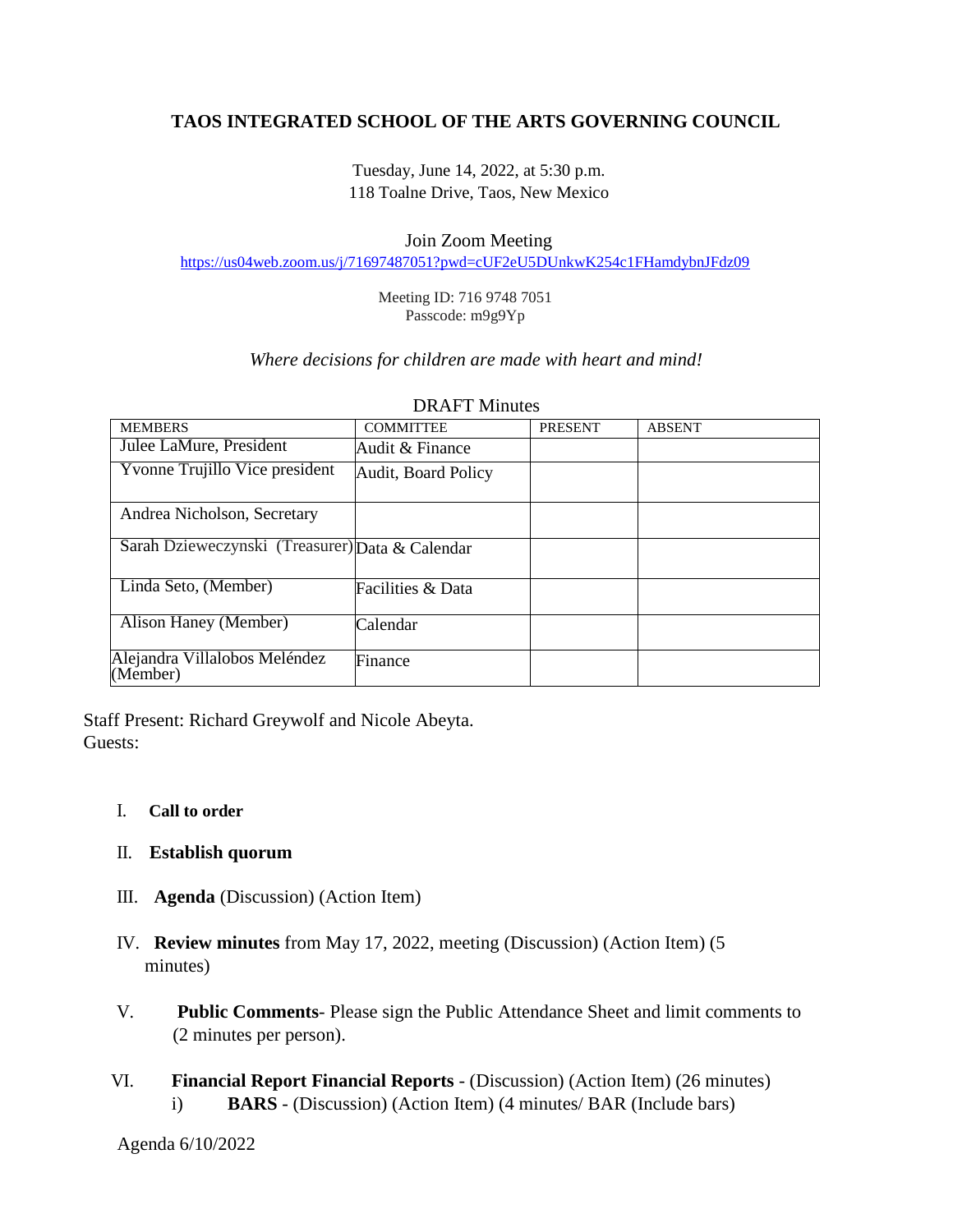# **TAOS INTEGRATED SCHOOL OF THE ARTS GOVERNING COUNCIL**

Tuesday, June 14, 2022, at 5:30 p.m. 118 Toalne Drive, Taos, New Mexico

### Join Zoom Meeting

<https://us04web.zoom.us/j/71697487051?pwd=cUF2eU5DUnkwK254c1FHamdybnJFdz09>

Meeting ID: 716 9748 7051 Passcode: m9g9Yp

## *Where decisions for children are made with heart and mind!*

| <b>MEMBERS</b>                                  | <b>COMMITTEE</b>    | <b>PRESENT</b> | <b>ABSENT</b> |
|-------------------------------------------------|---------------------|----------------|---------------|
| Julee LaMure, President                         | Audit & Finance     |                |               |
| Yvonne Trujillo Vice president                  | Audit, Board Policy |                |               |
|                                                 |                     |                |               |
| Andrea Nicholson, Secretary                     |                     |                |               |
| Sarah Dzieweczynski (Treasurer) Data & Calendar |                     |                |               |
| Linda Seto, (Member)                            | Facilities & Data   |                |               |
| Alison Haney (Member)                           | Calendar            |                |               |
| Alejandra Villalobos Meléndez<br>(Member)       | Finance             |                |               |

#### DRAFT Minutes

Staff Present: Richard Greywolf and Nicole Abeyta. Guests:

### I. **Call to order**

## II. **Establish quorum**

- III. **Agenda** (Discussion) (Action Item)
- IV. **Review minutes** from May 17, 2022, meeting (Discussion) (Action Item) (5 minutes)
- V. **Public Comments** Please sign the Public Attendance Sheet and limit comments to (2 minutes per person).
- VI. **Financial Report Financial Reports** (Discussion) (Action Item) (26 minutes) i) **BARS** - (Discussion) (Action Item) (4 minutes/ BAR (Include bars)

Agenda 6/10/2022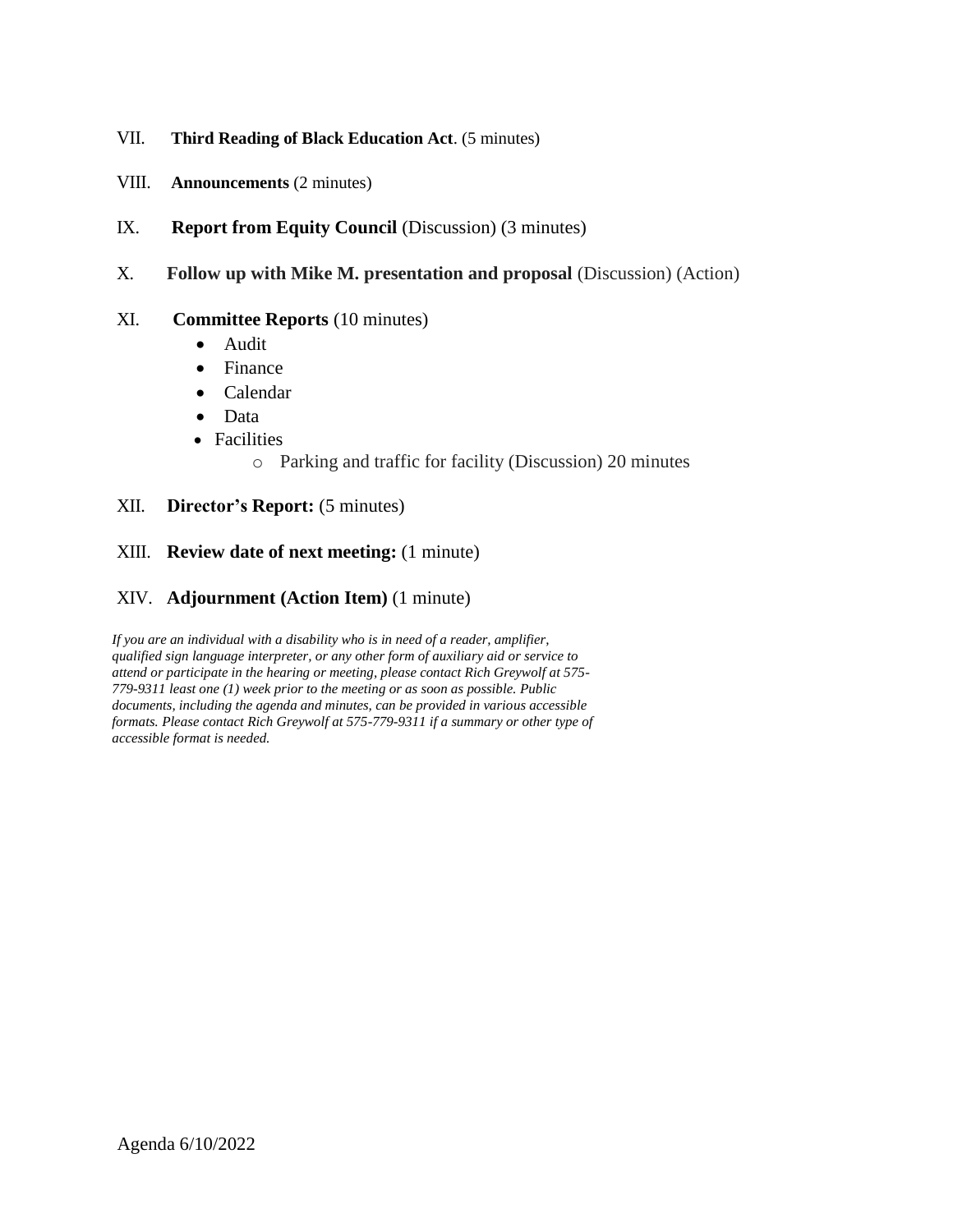## VII. **Third Reading of Black Education Act**. (5 minutes)

- VIII. **Announcements** (2 minutes)
- IX. **Report from Equity Council** (Discussion) (3 minutes)
- X. **Follow up with Mike M. presentation and proposal** (Discussion) (Action)

## XI. **Committee Reports** (10 minutes)

- Audit
- Finance
- Calendar
- Data
- Facilities
	- o Parking and traffic for facility (Discussion) 20 minutes

## XII. **Director's Report:** (5 minutes)

## XIII. **Review date of next meeting:** (1 minute)

## XIV. **Adjournment (Action Item)** (1 minute)

*If you are an individual with a disability who is in need of a reader, amplifier, qualified sign language interpreter, or any other form of auxiliary aid or service to attend or participate in the hearing or meeting, please contact Rich Greywolf at 575- 779-9311 least one (1) week prior to the meeting or as soon as possible. Public documents, including the agenda and minutes, can be provided in various accessible formats. Please contact Rich Greywolf at 575-779-9311 if a summary or other type of accessible format is needed.*